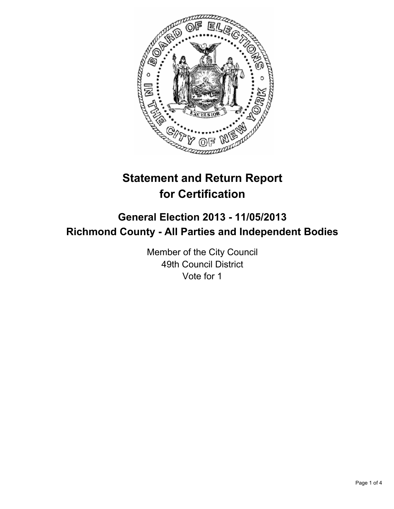

# **Statement and Return Report for Certification**

# **General Election 2013 - 11/05/2013 Richmond County - All Parties and Independent Bodies**

Member of the City Council 49th Council District Vote for 1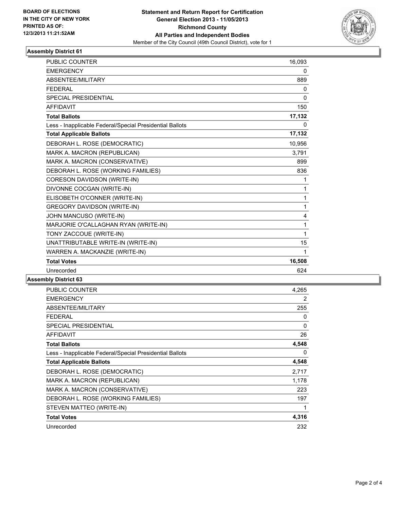

## **Assembly District 61**

| <b>PUBLIC COUNTER</b>                                    | 16.093       |
|----------------------------------------------------------|--------------|
| <b>EMERGENCY</b>                                         | 0            |
| ABSENTEE/MILITARY                                        | 889          |
| <b>FFDFRAI</b>                                           | 0            |
| <b>SPECIAL PRESIDENTIAL</b>                              | 0            |
| <b>AFFIDAVIT</b>                                         | 150          |
| <b>Total Ballots</b>                                     | 17,132       |
| Less - Inapplicable Federal/Special Presidential Ballots | 0            |
| <b>Total Applicable Ballots</b>                          | 17,132       |
| DEBORAH L. ROSE (DEMOCRATIC)                             | 10,956       |
| MARK A. MACRON (REPUBLICAN)                              | 3,791        |
| MARK A. MACRON (CONSERVATIVE)                            | 899          |
| DEBORAH L. ROSE (WORKING FAMILIES)                       | 836          |
| CORESON DAVIDSON (WRITE-IN)                              | 1            |
| DIVONNE COCGAN (WRITE-IN)                                | $\mathbf{1}$ |
| ELISOBETH O'CONNER (WRITE-IN)                            | 1            |
| <b>GREGORY DAVIDSON (WRITE-IN)</b>                       | $\mathbf{1}$ |
| JOHN MANCUSO (WRITE-IN)                                  | 4            |
| MARJORIE O'CALLAGHAN RYAN (WRITE-IN)                     | 1            |
| TONY ZACCOUE (WRITE-IN)                                  | 1            |
| UNATTRIBUTABLE WRITE-IN (WRITE-IN)                       | 15           |
| WARREN A. MACKANZIE (WRITE-IN)                           | 1            |
| <b>Total Votes</b>                                       | 16,508       |
| Unrecorded                                               | 624          |

#### **Assembly District 63**

| <b>PUBLIC COUNTER</b>                                    | 4,265 |
|----------------------------------------------------------|-------|
| <b>EMERGENCY</b>                                         | 2     |
| ABSENTEE/MILITARY                                        | 255   |
| <b>FEDERAL</b>                                           | 0     |
| <b>SPECIAL PRESIDENTIAL</b>                              | 0     |
| <b>AFFIDAVIT</b>                                         | 26    |
| <b>Total Ballots</b>                                     | 4,548 |
| Less - Inapplicable Federal/Special Presidential Ballots | 0     |
| <b>Total Applicable Ballots</b>                          | 4,548 |
| DEBORAH L. ROSE (DEMOCRATIC)                             | 2,717 |
| MARK A. MACRON (REPUBLICAN)                              | 1,178 |
| MARK A. MACRON (CONSERVATIVE)                            | 223   |
|                                                          |       |
| DEBORAH L. ROSE (WORKING FAMILIES)                       | 197   |
| STEVEN MATTEO (WRITE-IN)                                 | 1     |
| <b>Total Votes</b>                                       | 4,316 |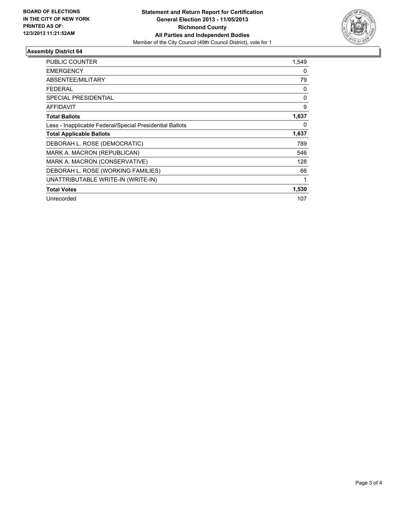

## **Assembly District 64**

| <b>PUBLIC COUNTER</b>                                    | 1,549    |
|----------------------------------------------------------|----------|
| <b>EMERGENCY</b>                                         | 0        |
| ABSENTEE/MILITARY                                        | 79       |
| <b>FEDERAL</b>                                           | 0        |
| <b>SPECIAL PRESIDENTIAL</b>                              | $\Omega$ |
| <b>AFFIDAVIT</b>                                         | 9        |
| <b>Total Ballots</b>                                     | 1,637    |
| Less - Inapplicable Federal/Special Presidential Ballots | $\Omega$ |
| <b>Total Applicable Ballots</b>                          | 1,637    |
| DEBORAH L. ROSE (DEMOCRATIC)                             | 789      |
| MARK A. MACRON (REPUBLICAN)                              | 546      |
| MARK A. MACRON (CONSERVATIVE)                            | 128      |
| DEBORAH L. ROSE (WORKING FAMILIES)                       | 66       |
| UNATTRIBUTABLE WRITE-IN (WRITE-IN)                       | 1        |
| <b>Total Votes</b>                                       | 1,530    |
| Unrecorded                                               | 107      |